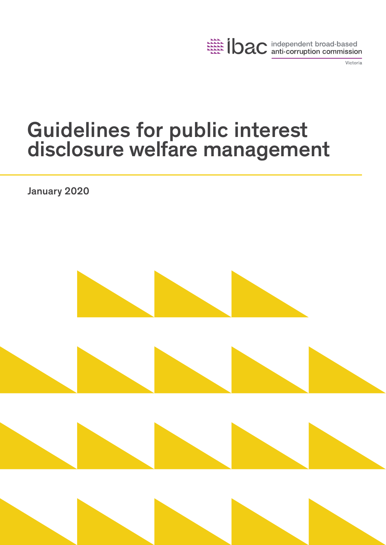

Victoria

# Guidelines for public interest disclosure welfare management

January 2020

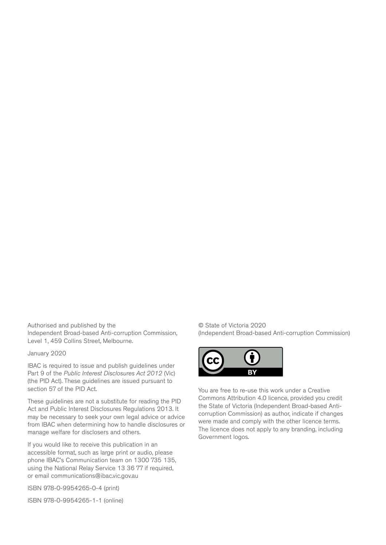Authorised and published by the Independent Broad-based Anti-corruption Commission, Level 1, 459 Collins Street, Melbourne.

January 2020

IBAC is required to issue and publish guidelines under Part 9 of the *Public Interest Disclosures Act 2012* (Vic) (the PID Act). These guidelines are issued pursuant to section 57 of the PID Act.

These guidelines are not a substitute for reading the PID Act and Public Interest Disclosures Regulations 2013. It may be necessary to seek your own legal advice or advice from IBAC when determining how to handle disclosures or manage welfare for disclosers and others.

If you would like to receive this publication in an accessible format, such as large print or audio, please phone IBAC's Communication team on 1300 735 135, using the National Relay Service 13 36 77 if required, or email communications@ibac.vic.gov.au

ISBN 978-0-9954265-0-4 (print)

ISBN 978-0-9954265-1-1 (online)

© State of Victoria 2020 (Independent Broad-based Anti-corruption Commission)



You are free to re-use this work under a Creative Commons Attribution 4.0 licence, provided you credit the State of Victoria (Independent Broad-based Anticorruption Commission) as author, indicate if changes were made and comply with the other licence terms. The licence does not apply to any branding, including Government logos.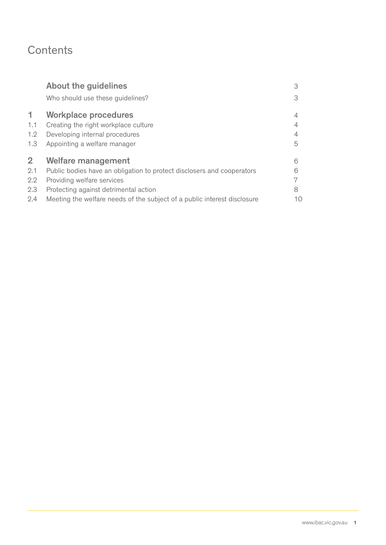# **Contents**

|                  | <b>About the guidelines</b>                                              | З  |
|------------------|--------------------------------------------------------------------------|----|
|                  | Who should use these guidelines?                                         | 3  |
| 1.               | <b>Workplace procedures</b>                                              | 4  |
| 1.1              | Creating the right workplace culture                                     | 4  |
| 1.2              | Developing internal procedures                                           | 4  |
| 1.3              | Appointing a welfare manager                                             | 5  |
| $\overline{2}$   | Welfare management                                                       | 6  |
| 2.1              | Public bodies have an obligation to protect disclosers and cooperators   | 6  |
| $2.2\phantom{0}$ | Providing welfare services                                               |    |
| 2.3              | Protecting against detrimental action                                    | 8  |
| 2.4              | Meeting the welfare needs of the subject of a public interest disclosure | 10 |
|                  |                                                                          |    |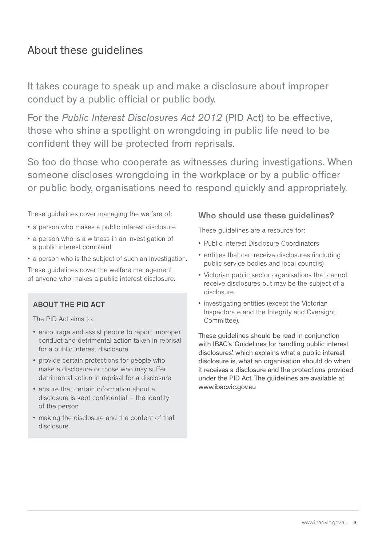# About these guidelines

It takes courage to speak up and make a disclosure about improper conduct by a public official or public body.

For the *Public Interest Disclosures Act 2012* (PID Act) to be effective, those who shine a spotlight on wrongdoing in public life need to be confident they will be protected from reprisals.

So too do those who cooperate as witnesses during investigations. When someone discloses wrongdoing in the workplace or by a public officer or public body, organisations need to respond quickly and appropriately.

These guidelines cover managing the welfare of:

- a person who makes a public interest disclosure
- a person who is a witness in an investigation of a public interest complaint
- a person who is the subject of such an investigation.

These guidelines cover the welfare management of anyone who makes a public interest disclosure.

### ABOUT THE PID ACT

The PID Act aims to:

- encourage and assist people to report improper conduct and detrimental action taken in reprisal for a public interest disclosure
- provide certain protections for people who make a disclosure or those who may suffer detrimental action in reprisal for a disclosure
- ensure that certain information about a disclosure is kept confidential – the identity of the person
- making the disclosure and the content of that disclosure.

### Who should use these guidelines?

These guidelines are a resource for:

- Public Interest Disclosure Coordinators
- entities that can receive disclosures (including public service bodies and local councils)
- Victorian public sector organisations that cannot receive disclosures but may be the subject of a disclosure
- investigating entities (except the Victorian Inspectorate and the Integrity and Oversight Committee).

These guidelines should be read in conjunction with IBAC's 'Guidelines for handling public interest disclosures', which explains what a public interest disclosure is, what an organisation should do when it receives a disclosure and the protections provided under the PID Act. The guidelines are available at www.ibac.vic.gov.au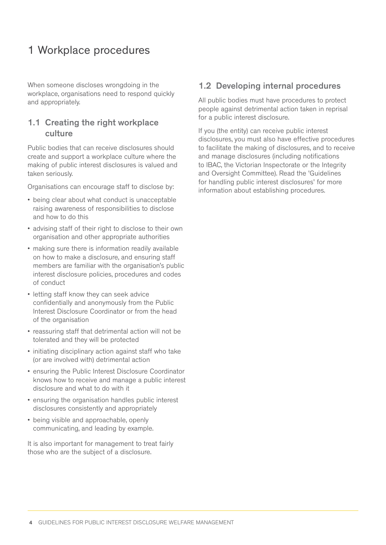# 1 Workplace procedures

When someone discloses wrongdoing in the workplace, organisations need to respond quickly and appropriately.

### 1.1 Creating the right workplace culture

Public bodies that can receive disclosures should create and support a workplace culture where the making of public interest disclosures is valued and taken seriously.

Organisations can encourage staff to disclose by:

- being clear about what conduct is unacceptable raising awareness of responsibilities to disclose and how to do this
- advising staff of their right to disclose to their own organisation and other appropriate authorities
- making sure there is information readily available on how to make a disclosure, and ensuring staff members are familiar with the organisation's public interest disclosure policies, procedures and codes of conduct
- letting staff know they can seek advice confidentially and anonymously from the Public Interest Disclosure Coordinator or from the head of the organisation
- reassuring staff that detrimental action will not be tolerated and they will be protected
- initiating disciplinary action against staff who take (or are involved with) detrimental action
- ensuring the Public Interest Disclosure Coordinator knows how to receive and manage a public interest disclosure and what to do with it
- ensuring the organisation handles public interest disclosures consistently and appropriately
- being visible and approachable, openly communicating, and leading by example.

It is also important for management to treat fairly those who are the subject of a disclosure.

### 1.2 Developing internal procedures

All public bodies must have procedures to protect people against detrimental action taken in reprisal for a public interest disclosure.

If you (the entity) can receive public interest disclosures, you must also have effective procedures to facilitate the making of disclosures, and to receive and manage disclosures (including notifications to IBAC, the Victorian Inspectorate or the Integrity and Oversight Committee). Read the 'Guidelines for handling public interest disclosures' for more information about establishing procedures.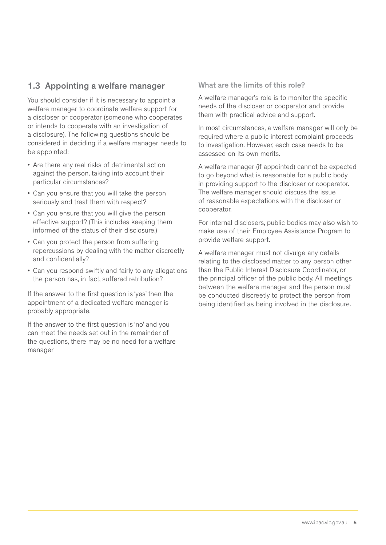# 1.3 Appointing a welfare manager

You should consider if it is necessary to appoint a welfare manager to coordinate welfare support for a discloser or cooperator (someone who cooperates or intends to cooperate with an investigation of a disclosure). The following questions should be considered in deciding if a welfare manager needs to be appointed:

- Are there any real risks of detrimental action against the person, taking into account their particular circumstances?
- Can you ensure that you will take the person seriously and treat them with respect?
- Can you ensure that you will give the person effective support? (This includes keeping them informed of the status of their disclosure.)
- Can you protect the person from suffering repercussions by dealing with the matter discreetly and confidentially?
- Can you respond swiftly and fairly to any allegations the person has, in fact, suffered retribution?

If the answer to the first question is 'yes' then the appointment of a dedicated welfare manager is probably appropriate.

If the answer to the first question is 'no' and you can meet the needs set out in the remainder of the questions, there may be no need for a welfare manager

What are the limits of this role?

A welfare manager's role is to monitor the specific needs of the discloser or cooperator and provide them with practical advice and support.

In most circumstances, a welfare manager will only be required where a public interest complaint proceeds to investigation. However, each case needs to be assessed on its own merits.

A welfare manager (if appointed) cannot be expected to go beyond what is reasonable for a public body in providing support to the discloser or cooperator. The welfare manager should discuss the issue of reasonable expectations with the discloser or cooperator.

For internal disclosers, public bodies may also wish to make use of their Employee Assistance Program to provide welfare support.

A welfare manager must not divulge any details relating to the disclosed matter to any person other than the Public Interest Disclosure Coordinator, or the principal officer of the public body. All meetings between the welfare manager and the person must be conducted discreetly to protect the person from being identified as being involved in the disclosure.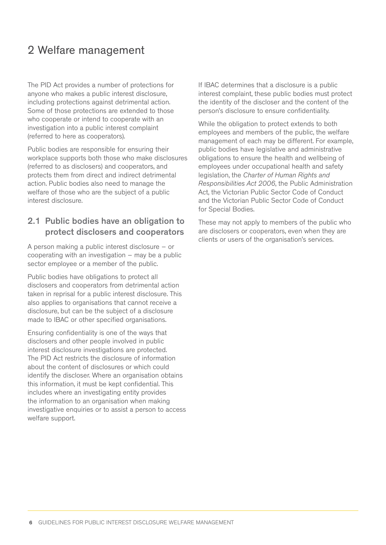# 2 Welfare management

The PID Act provides a number of protections for anyone who makes a public interest disclosure, including protections against detrimental action. Some of those protections are extended to those who cooperate or intend to cooperate with an investigation into a public interest complaint (referred to here as cooperators).

Public bodies are responsible for ensuring their workplace supports both those who make disclosures (referred to as disclosers) and cooperators, and protects them from direct and indirect detrimental action. Public bodies also need to manage the welfare of those who are the subject of a public interest disclosure.

# 2.1 Public bodies have an obligation to protect disclosers and cooperators

A person making a public interest disclosure – or cooperating with an investigation  $-$  may be a public sector employee or a member of the public.

Public bodies have obligations to protect all disclosers and cooperators from detrimental action taken in reprisal for a public interest disclosure. This also applies to organisations that cannot receive a disclosure, but can be the subject of a disclosure made to IBAC or other specified organisations.

Ensuring confidentiality is one of the ways that disclosers and other people involved in public interest disclosure investigations are protected. The PID Act restricts the disclosure of information about the content of disclosures or which could identify the discloser. Where an organisation obtains this information, it must be kept confidential. This includes where an investigating entity provides the information to an organisation when making investigative enquiries or to assist a person to access welfare support.

If IBAC determines that a disclosure is a public interest complaint, these public bodies must protect the identity of the discloser and the content of the person's disclosure to ensure confidentiality.

While the obligation to protect extends to both employees and members of the public, the welfare management of each may be different. For example, public bodies have legislative and administrative obligations to ensure the health and wellbeing of employees under occupational health and safety legislation, the *Charter of Human Rights and Responsibilities Act 2006*, the Public Administration Act, the Victorian Public Sector Code of Conduct and the Victorian Public Sector Code of Conduct for Special Bodies.

These may not apply to members of the public who are disclosers or cooperators, even when they are clients or users of the organisation's services.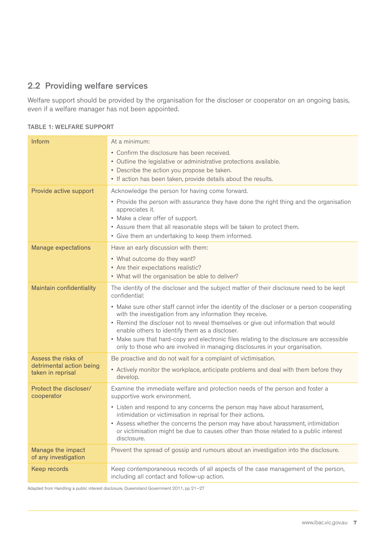# 2.2 Providing welfare services

Welfare support should be provided by the organisation for the discloser or cooperator on an ongoing basis, even if a welfare manager has not been appointed.

#### TABLE 1: WELFARE SUPPORT

| Inform                                        | At a minimum:                                                                                                                                                                            |
|-----------------------------------------------|------------------------------------------------------------------------------------------------------------------------------------------------------------------------------------------|
|                                               | • Confirm the disclosure has been received.<br>• Outline the legislative or administrative protections available.                                                                        |
|                                               | • Describe the action you propose be taken.                                                                                                                                              |
|                                               | • If action has been taken, provide details about the results.                                                                                                                           |
| Provide active support                        | Acknowledge the person for having come forward.                                                                                                                                          |
|                                               | • Provide the person with assurance they have done the right thing and the organisation<br>appreciates it.                                                                               |
|                                               | • Make a clear offer of support.                                                                                                                                                         |
|                                               | • Assure them that all reasonable steps will be taken to protect them.<br>• Give them an undertaking to keep them informed.                                                              |
| <b>Manage expectations</b>                    | Have an early discussion with them:                                                                                                                                                      |
|                                               | • What outcome do they want?                                                                                                                                                             |
|                                               | • Are their expectations realistic?                                                                                                                                                      |
|                                               | • What will the organisation be able to deliver?                                                                                                                                         |
| Maintain confidentiality                      | The identity of the discloser and the subject matter of their disclosure need to be kept<br>confidential:                                                                                |
|                                               | • Make sure other staff cannot infer the identity of the discloser or a person cooperating<br>with the investigation from any information they receive.                                  |
|                                               | • Remind the discloser not to reveal themselves or give out information that would<br>enable others to identify them as a discloser.                                                     |
|                                               | • Make sure that hard-copy and electronic files relating to the disclosure are accessible<br>only to those who are involved in managing disclosures in your organisation.                |
| Assess the risks of                           | Be proactive and do not wait for a complaint of victimisation.                                                                                                                           |
| detrimental action being<br>taken in reprisal | • Actively monitor the workplace, anticipate problems and deal with them before they<br>develop.                                                                                         |
| Protect the discloser/<br>cooperator          | Examine the immediate welfare and protection needs of the person and foster a<br>supportive work environment.                                                                            |
|                                               | • Listen and respond to any concerns the person may have about harassment,<br>intimidation or victimisation in reprisal for their actions.                                               |
|                                               | • Assess whether the concerns the person may have about harassment, intimidation<br>or victimisation might be due to causes other than those related to a public interest<br>disclosure. |
| Manage the impact<br>of any investigation     | Prevent the spread of gossip and rumours about an investigation into the disclosure.                                                                                                     |
| Keep records                                  | Keep contemporaneous records of all aspects of the case management of the person,<br>including all contact and follow-up action.                                                         |

Adapted from Handling a public interest disclosure, Queensland Government 2011, pp 21–27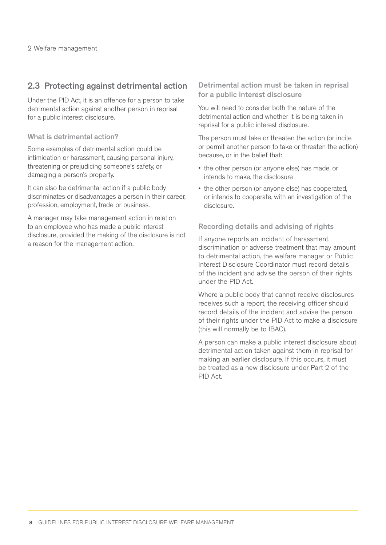# 2.3 Protecting against detrimental action

Under the PID Act, it is an offence for a person to take detrimental action against another person in reprisal for a public interest disclosure.

#### What is detrimental action?

Some examples of detrimental action could be intimidation or harassment, causing personal injury, threatening or prejudicing someone's safety, or damaging a person's property.

It can also be detrimental action if a public body discriminates or disadvantages a person in their career, profession, employment, trade or business.

A manager may take management action in relation to an employee who has made a public interest disclosure, provided the making of the disclosure is not a reason for the management action.

Detrimental action must be taken in reprisal for a public interest disclosure

You will need to consider both the nature of the detrimental action and whether it is being taken in reprisal for a public interest disclosure.

The person must take or threaten the action (or incite or permit another person to take or threaten the action) because, or in the belief that:

- the other person (or anyone else) has made, or intends to make, the disclosure
- the other person (or anyone else) has cooperated, or intends to cooperate, with an investigation of the disclosure.

Recording details and advising of rights

If anyone reports an incident of harassment, discrimination or adverse treatment that may amount to detrimental action, the welfare manager or Public Interest Disclosure Coordinator must record details of the incident and advise the person of their rights under the PID Act.

Where a public body that cannot receive disclosures receives such a report, the receiving officer should record details of the incident and advise the person of their rights under the PID Act to make a disclosure (this will normally be to IBAC).

A person can make a public interest disclosure about detrimental action taken against them in reprisal for making an earlier disclosure. If this occurs, it must be treated as a new disclosure under Part 2 of the PID Act.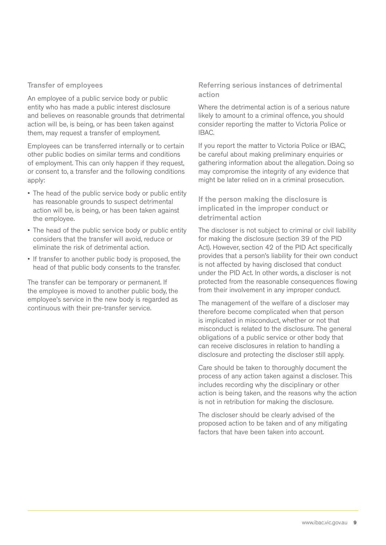#### Transfer of employees

An employee of a public service body or public entity who has made a public interest disclosure and believes on reasonable grounds that detrimental action will be, is being, or has been taken against them, may request a transfer of employment.

Employees can be transferred internally or to certain other public bodies on similar terms and conditions of employment. This can only happen if they request, or consent to, a transfer and the following conditions apply:

- The head of the public service body or public entity has reasonable grounds to suspect detrimental action will be, is being, or has been taken against the employee.
- The head of the public service body or public entity considers that the transfer will avoid, reduce or eliminate the risk of detrimental action.
- If transfer to another public body is proposed, the head of that public body consents to the transfer.

The transfer can be temporary or permanent. If the employee is moved to another public body, the employee's service in the new body is regarded as continuous with their pre-transfer service.

Referring serious instances of detrimental action

Where the detrimental action is of a serious nature likely to amount to a criminal offence, you should consider reporting the matter to Victoria Police or IBAC.

If you report the matter to Victoria Police or IBAC, be careful about making preliminary enquiries or gathering information about the allegation. Doing so may compromise the integrity of any evidence that might be later relied on in a criminal prosecution.

#### If the person making the disclosure is implicated in the improper conduct or detrimental action

The discloser is not subject to criminal or civil liability for making the disclosure (section 39 of the PID Act). However, section 42 of the PID Act specifically provides that a person's liability for their own conduct is not affected by having disclosed that conduct under the PID Act. In other words, a discloser is not protected from the reasonable consequences flowing from their involvement in any improper conduct.

The management of the welfare of a discloser may therefore become complicated when that person is implicated in misconduct, whether or not that misconduct is related to the disclosure. The general obligations of a public service or other body that can receive disclosures in relation to handling a disclosure and protecting the discloser still apply.

Care should be taken to thoroughly document the process of any action taken against a discloser. This includes recording why the disciplinary or other action is being taken, and the reasons why the action is not in retribution for making the disclosure.

The discloser should be clearly advised of the proposed action to be taken and of any mitigating factors that have been taken into account.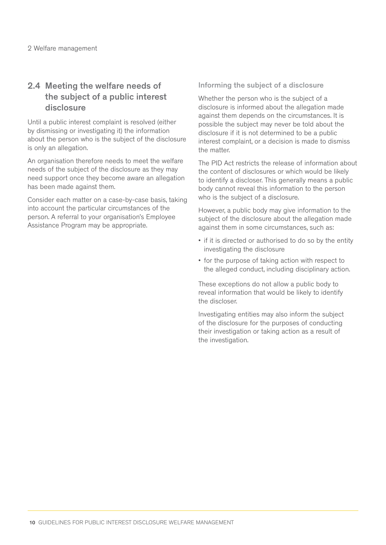# 2.4 Meeting the welfare needs of the subject of a public interest disclosure

Until a public interest complaint is resolved (either by dismissing or investigating it) the information about the person who is the subject of the disclosure is only an allegation.

An organisation therefore needs to meet the welfare needs of the subject of the disclosure as they may need support once they become aware an allegation has been made against them.

Consider each matter on a case-by-case basis, taking into account the particular circumstances of the person. A referral to your organisation's Employee Assistance Program may be appropriate.

#### Informing the subject of a disclosure

Whether the person who is the subject of a disclosure is informed about the allegation made against them depends on the circumstances. It is possible the subject may never be told about the disclosure if it is not determined to be a public interest complaint, or a decision is made to dismiss the matter.

The PID Act restricts the release of information about the content of disclosures or which would be likely to identify a discloser. This generally means a public body cannot reveal this information to the person who is the subject of a disclosure.

However, a public body may give information to the subject of the disclosure about the allegation made against them in some circumstances, such as:

- if it is directed or authorised to do so by the entity investigating the disclosure
- for the purpose of taking action with respect to the alleged conduct, including disciplinary action.

These exceptions do not allow a public body to reveal information that would be likely to identify the discloser.

Investigating entities may also inform the subject of the disclosure for the purposes of conducting their investigation or taking action as a result of the investigation.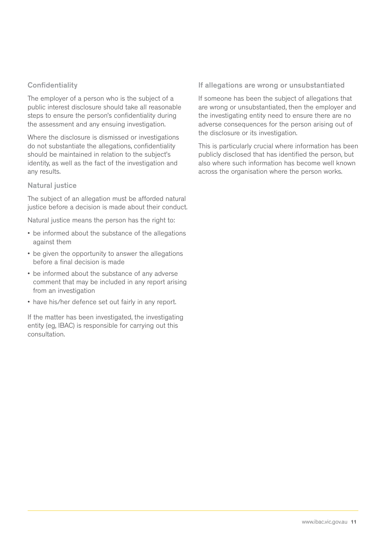#### **Confidentiality**

The employer of a person who is the subject of a public interest disclosure should take all reasonable steps to ensure the person's confidentiality during the assessment and any ensuing investigation.

Where the disclosure is dismissed or investigations do not substantiate the allegations, confidentiality should be maintained in relation to the subject's identity, as well as the fact of the investigation and any results.

#### Natural justice

The subject of an allegation must be afforded natural justice before a decision is made about their conduct.

Natural justice means the person has the right to:

- be informed about the substance of the allegations against them
- be given the opportunity to answer the allegations before a final decision is made
- be informed about the substance of any adverse comment that may be included in any report arising from an investigation
- have his/her defence set out fairly in any report.

If the matter has been investigated, the investigating entity (eg, IBAC) is responsible for carrying out this consultation.

#### If allegations are wrong or unsubstantiated

If someone has been the subject of allegations that are wrong or unsubstantiated, then the employer and the investigating entity need to ensure there are no adverse consequences for the person arising out of the disclosure or its investigation.

This is particularly crucial where information has been publicly disclosed that has identified the person, but also where such information has become well known across the organisation where the person works.